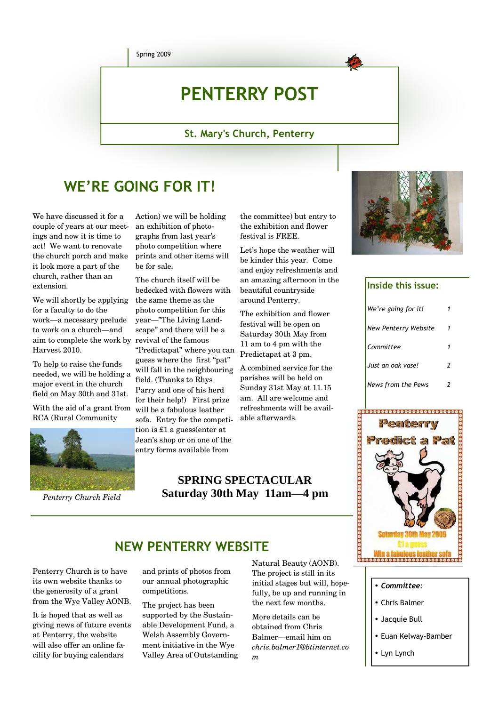Spring 2009

# PENTERRY POST

#### St. Mary's Church, Penterry

## WE'RE GOING FOR IT!

We have discussed it for a couple of years at our meetings and now it is time to act! We want to renovate the church porch and make it look more a part of the church, rather than an extension.

We will shortly be applying for a faculty to do the work—a necessary prelude to work on a church—and aim to complete the work by revival of the famous Harvest 2010.

To help to raise the funds needed, we will be holding a major event in the church field on May 30th and 31st.

With the aid of a grant from RCA (Rural Community



*Penterry Church Field* 

Action) we will be holding an exhibition of photographs from last year's photo competition where prints and other items will be for sale.

The church itself will be bedecked with flowers with the same theme as the photo competition for this year—"The Living Landscape" and there will be a

"Predictapat" where you can guess where the first "pat" will fall in the neighbouring field. (Thanks to Rhys Parry and one of his herd for their help!) First prize will be a fabulous leather sofa. Entry for the competition is £1 a guess(enter at Jean's shop or on one of the entry forms available from

the committee) but entry to the exhibition and flower festival is FREE.

Let's hope the weather will be kinder this year. Come and enjoy refreshments and an amazing afternoon in the beautiful countryside around Penterry.

The exhibition and flower festival will be open on Saturday 30th May from 11 am to 4 pm with the Predictapat at 3 pm.

A combined service for the parishes will be held on Sunday 31st May at 11.15 am. All are welcome and refreshments will be available afterwards.

### **SPRING SPECTACULAR Saturday 30th May 11am—4 pm**

### NEW PENTERRY WEBSITE

Penterry Church is to have its own website thanks to the generosity of a grant from the Wye Valley AONB.

It is hoped that as well as giving news of future events at Penterry, the website will also offer an online facility for buying calendars

#### and prints of photos from our annual photographic competitions.

The project has been supported by the Sustainable Development Fund, a Welsh Assembly Government initiative in the Wye Valley Area of Outstanding Natural Beauty (AONB). The project is still in its initial stages but will, hopefully, be up and running in the next few months.

More details can be obtained from Chris Balmer—email him on *chris.balmer1@btinternet.co m*



#### Inside this issue:

| We're going for it!         |   |
|-----------------------------|---|
| <b>New Penterry Website</b> |   |
| Committee                   |   |
| Just an oak vase!           | 2 |
| News from the Pews          |   |



#### • Committee:

- Chris Balmer
- Jacquie Bull
- Euan Kelway-Bamber
- Lyn Lynch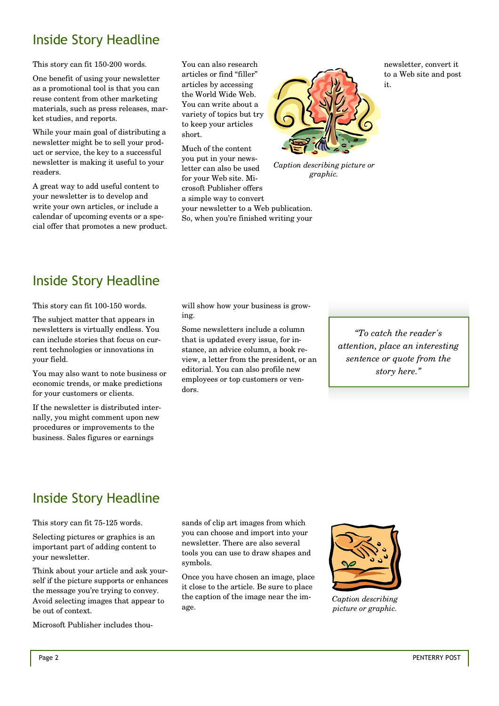# Inside Story Headline

This story can fit 150-200 words.

One benefit of using your newsletter as a promotional tool is that you can reuse content from other marketing materials, such as press releases, market studies, and reports.

While your main goal of distributing a newsletter might be to sell your product or service, the key to a successful newsletter is making it useful to your readers.

A great way to add useful content to your newsletter is to develop and write your own articles, or include a calendar of upcoming events or a special offer that promotes a new product. You can also research articles or find "filler" articles by accessing the World Wide Web. You can write about a variety of topics but try to keep your articles short.

Much of the content you put in your newsletter can also be used for your Web site. Microsoft Publisher offers a simple way to convert

your newsletter to a Web publication. So, when you're finished writing your



*Caption describing picture or graphic.* 

Inside Story Headline

This story can fit 100-150 words.

The subject matter that appears in newsletters is virtually endless. You can include stories that focus on current technologies or innovations in your field.

You may also want to note business or economic trends, or make predictions for your customers or clients.

If the newsletter is distributed internally, you might comment upon new procedures or improvements to the business. Sales figures or earnings

will show how your business is growing.

Some newsletters include a column that is updated every issue, for instance, an advice column, a book review, a letter from the president, or an editorial. You can also profile new employees or top customers or vendors.

*"To catch the reader's attention, place an interesting sentence or quote from the story here."* 

### Inside Story Headline

This story can fit 75-125 words.

Selecting pictures or graphics is an important part of adding content to your newsletter.

Think about your article and ask yourself if the picture supports or enhances the message you're trying to convey. Avoid selecting images that appear to be out of context.

Microsoft Publisher includes thou-

sands of clip art images from which you can choose and import into your newsletter. There are also several tools you can use to draw shapes and symbols.

Once you have chosen an image, place it close to the article. Be sure to place the caption of the image near the image.



*Caption describing picture or graphic.* 

newsletter, convert it to a Web site and post

it.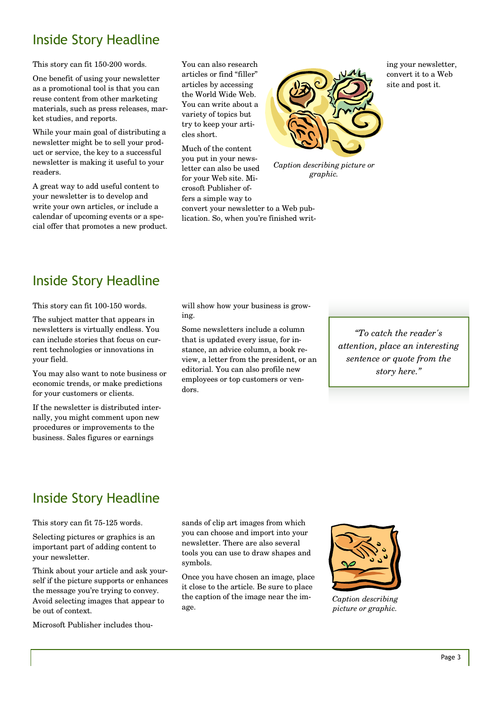# Inside Story Headline

This story can fit 150-200 words.

One benefit of using your newsletter as a promotional tool is that you can reuse content from other marketing materials, such as press releases, market studies, and reports.

While your main goal of distributing a newsletter might be to sell your product or service, the key to a successful newsletter is making it useful to your readers.

A great way to add useful content to your newsletter is to develop and write your own articles, or include a calendar of upcoming events or a special offer that promotes a new product. You can also research articles or find "filler" articles by accessing the World Wide Web. You can write about a variety of topics but try to keep your articles short.

Much of the content you put in your newsletter can also be used for your Web site. Microsoft Publisher offers a simple way to

convert your newsletter to a Web publication. So, when you're finished writ-



*Caption describing picture or graphic.* 

Inside Story Headline

This story can fit 100-150 words.

The subject matter that appears in newsletters is virtually endless. You can include stories that focus on current technologies or innovations in your field.

You may also want to note business or economic trends, or make predictions for your customers or clients.

If the newsletter is distributed internally, you might comment upon new procedures or improvements to the business. Sales figures or earnings

will show how your business is growing.

Some newsletters include a column that is updated every issue, for instance, an advice column, a book review, a letter from the president, or an editorial. You can also profile new employees or top customers or vendors.

*"To catch the reader's attention, place an interesting sentence or quote from the story here."* 

### Inside Story Headline

This story can fit 75-125 words.

Selecting pictures or graphics is an important part of adding content to your newsletter.

Think about your article and ask yourself if the picture supports or enhances the message you're trying to convey. Avoid selecting images that appear to be out of context.

Microsoft Publisher includes thou-

sands of clip art images from which you can choose and import into your newsletter. There are also several tools you can use to draw shapes and symbols.

Once you have chosen an image, place it close to the article. Be sure to place the caption of the image near the image.



*Caption describing picture or graphic.* 

site and post it.